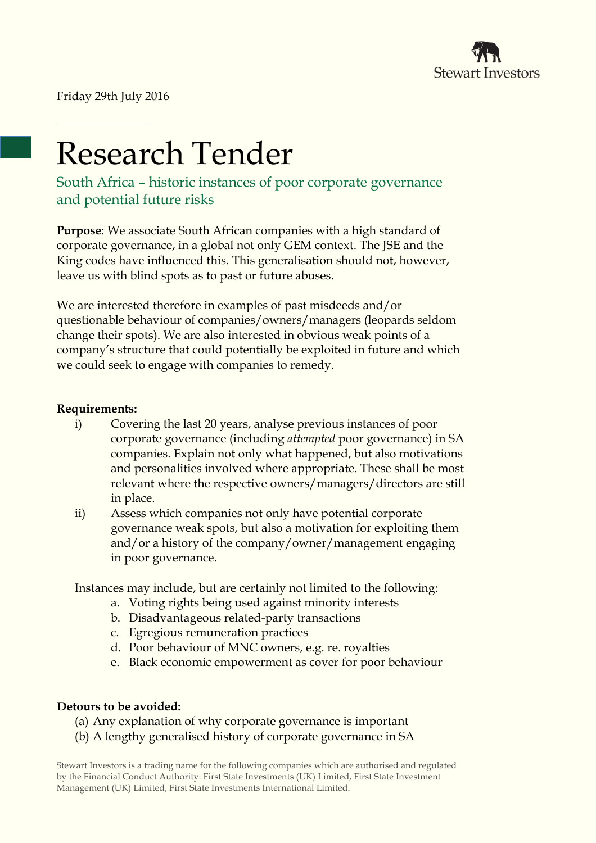

Friday 29th July 2016

# Research Tender

South Africa – historic instances of poor corporate governance and potential future risks

**Purpose**: We associate South African companies with a high standard of corporate governance, in a global not only GEM context. The JSE and the King codes have influenced this. This generalisation should not, however, leave us with blind spots as to past or future abuses.

We are interested therefore in examples of past misdeeds and/or questionable behaviour of companies/owners/managers (leopards seldom change their spots). We are also interested in obvious weak points of a company's structure that could potentially be exploited in future and which we could seek to engage with companies to remedy.

## **Requirements:**

- i) Covering the last 20 years, analyse previous instances of poor corporate governance (including *attempted* poor governance) in SA companies. Explain not only what happened, but also motivations and personalities involved where appropriate. These shall be most relevant where the respective owners/managers/directors are still in place.
- ii) Assess which companies not only have potential corporate governance weak spots, but also a motivation for exploiting them and/or a history of the company/owner/management engaging in poor governance.

Instances may include, but are certainly not limited to the following:

- a. Voting rights being used against minority interests
- b. Disadvantageous related-party transactions
- c. Egregious remuneration practices
- d. Poor behaviour of MNC owners, e.g. re. royalties
- e. Black economic empowerment as cover for poor behaviour

### **Detours to be avoided:**

- (a) Any explanation of why corporate governance is important
- (b) A lengthy generalised history of corporate governance in SA

Stewart Investors is a trading name for the following companies which are authorised and regulated by the Financial Conduct Authority: First State Investments (UK) Limited, First State Investment Management (UK) Limited, First State Investments International Limited.